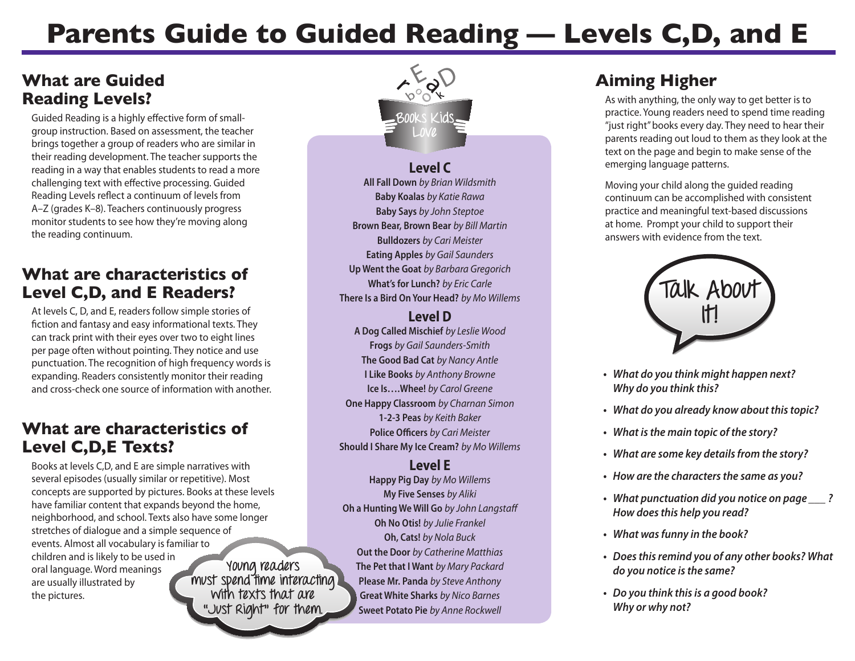# **Parents Guide to Guided Reading — Levels C,D, and E**

# **What are Guided Reading Levels?**

Guided Reading is a highly effective form of smallgroup instruction. Based on assessment, the teacher brings together a group of readers who are similar in their reading development. The teacher supports the reading in a way that enables students to read a more challenging text with effective processing. Guided Reading Levels reflect a continuum of levels from A–Z (grades K–8). Teachers continuously progress monitor students to see how they're moving along the reading continuum.

## **What are characteristics of Level C,D, and E Readers?**

At levels C, D, and E, readers follow simple stories of fiction and fantasy and easy informational texts. They can track print with their eyes over two to eight lines per page often without pointing. They notice and use punctuation. The recognition of high frequency words is expanding. Readers consistently monitor their reading and cross-check one source of information with another.

## **What are characteristics of Level C,D,E Texts?**

Books at levels C,D, and E are simple narratives with several episodes (usually similar or repetitive). Most concepts are supported by pictures. Books at these levels have familiar content that expands beyond the home, neighborhood, and school. Texts also have some longer stretches of dialogue and a simple sequence of events. Almost all vocabulary is familiar to children and is likely to be used in oral language. Word meanings are usually illustrated by the pictures. **Young readers must spend time interacting with texts that are "Just Right" for them.** 



**Level C All Fall Down** *by Brian Wildsmith*  **Baby Koalas** *by Katie Rawa*  **Baby Says** *by John Steptoe* **Brown Bear, Brown Bear** *by Bill Martin*  **Bulldozers** *by Cari Meister*  **Eating Apples** *by Gail Saunders*  **Up Went the Goat** *by Barbara Gregorich*  **What's for Lunch?** *by Eric Carle* **There Is a Bird On Your Head?** *by Mo Willems* 

#### **Level D**

**A Dog Called Mischief** *by Leslie Wood*  **Frogs** *by Gail Saunders-Smith*  **The Good Bad Cat** *by Nancy Antle*  **I Like Books** *by Anthony Browne*  **Ice Is….Whee!** *by Carol Greene*  **One Happy Classroom** *by Charnan Simon* **1-2-3 Peas** *by Keith Baker* **Police Officers** *by Cari Meister* **Should I Share My Ice Cream?** *by Mo Willems*

#### **Level E**

**Happy Pig Day** *by Mo Willems*  **My Five Senses** *by Aliki* **Oh a Hunting We Will Go** *by John Langstaff*  **Oh No Otis!** *by Julie Frankel*  **Oh, Cats!** *by Nola Buck*  **Out the Door** *by Catherine Matthias*  **The Pet that I Want** *by Mary Packard*  **Please Mr. Panda** *by Steve Anthony* **Great White Sharks** *by Nico Barnes* **Sweet Potato Pie** *by Anne Rockwell* 

# **Aiming Higher**

As with anything, the only way to get better is to practice. Young readers need to spend time reading "just right" books every day. They need to hear their parents reading out loud to them as they look at the text on the page and begin to make sense of the emerging language patterns.

Moving your child along the guided reading continuum can be accomplished with consistent practice and meaningful text-based discussions at home. Prompt your child to support their answers with evidence from the text.



- **What do you think might happen next? Why do you think this?**
- **What do you already know about this topic?**
- **What is the main topic of the story?**
- **What are some key details from the story?**
- **How are the characters the same as you?**
- **What punctuation did you notice on page \_\_\_ ? How does this help you read?**
- **What was funny in the book?**
- **Does this remind you of any other books? What do you notice is the same?**
- **Do you think this is a good book? Why or why not?**